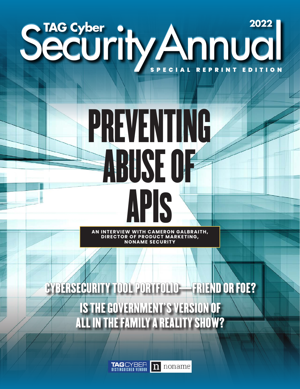## Security Annual SPECIAL REPRINT EDITION

# PREVENTING ABUSE OF API**S**

**AN INTERVIEW WITH CAMERON GALBRAITH, DIRECTOR OF PRODUCT MARKETING, NONAME SECURITY**

CYBERSECURITY TOOL PORTFOLIO—FRIEND OR FOE? IS THE GOVERNMENT'S VERSION OF ALL IN THE FAMILY A REALITY SHOW?

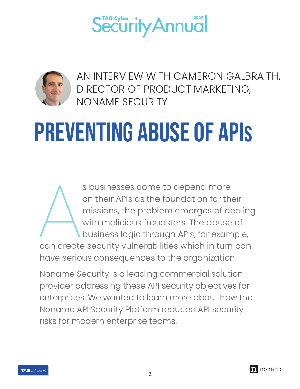



AN INTERVIEW WITH CAMERON GALBRAITH, DIRECTOR OF PRODUCT MARKETING, NONAME SECURITY

## PREVENTING ABUSE OF APIS

S businesses come to depend more<br>on their APIs as the foundation for the<br>missions, the problem emerges of devith malicious fraudsters. The abuse of<br>business logic through APIs, for examp<br>can create security vulnerabilities s businesses come to depend more on their APIs as the foundation for their missions, the problem emerges of dealing with malicious fraudsters. The abuse of business logic through APIs, for example, can create security vulnerabilities which in turn can

Noname Security is a leading commercial solution provider addressing these API security objectives for enterprises. We wanted to learn more about how the Noname API Security Platform reduced API security risks for modern enterprise teams.



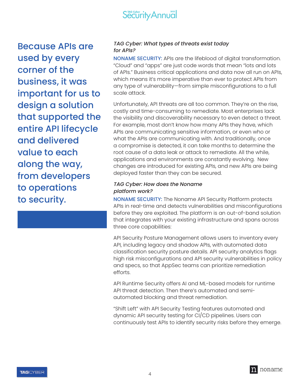

Because APIs are used by every corner of the business, it was important for us to design a solution that supported the entire API lifecycle and delivered value to each along the way, from developers to operations to security.

#### TAG Cyber: What types of threats exist today for APIs?

NONAME SECURITY: APIs are the lifeblood of digital transformation. "Cloud" and "apps" are just code words that mean "lots and lots of APIs." Business critical applications and data now all run on APIs, which means it's more imperative than ever to protect APIs from any type of vulnerability—from simple misconfigurations to a full scale attack.

Unfortunately, API threats are all too common. They're on the rise, costly and time-consuming to remediate. Most enterprises lack the visibility and discoverability necessary to even detect a threat. For example, most don't know how many APIs they have, which APIs are communicating sensitive information, or even who or what the APIs are communicating with. And traditionally, once a compromise is detected, it can take months to determine the root cause of a data leak or attack to remediate. All the while, applications and environments are constantly evolving. New changes are introduced for existing APIs, and new APIs are being deployed faster than they can be secured.

#### TAG Cyber: How does the Noname platform work?

NONAME SECURITY: The Noname API Security Platform protects APIs in real-time and detects vulnerabilities and misconfigurations before they are exploited. The platform is an out-of-band solution that integrates with your existing infrastructure and spans across three core capabilities:

API Security Posture Management allows users to inventory every API, including legacy and shadow APIs, with automated data classification security posture details. API security analytics flags high risk misconfigurations and API security vulnerabilities in policy and specs, so that AppSec teams can prioritize remediation efforts.

API Runtime Security offers AI and ML-based models for runtime API threat detection. Then there's automated and semiautomated blocking and threat remediation.

"Shift Left" with API Security Testing features automated and dynamic API security testing for CI/CD pipelines. Users can continuously test APIs to identify security risks before they emerge.

**TAG**CYBER

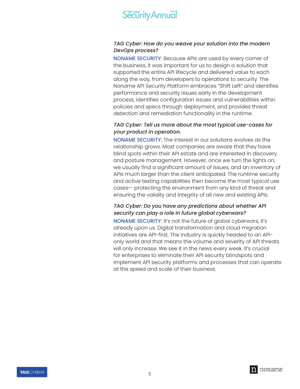

#### TAG Cyber: How do you weave your solution into the modern DevOps process?

NONAME SECURITY: Because APIs are used by every corner of the business, it was important for us to design a solution that supported the entire API lifecycle and delivered value to each along the way, from developers to operations to security. The Noname API Security Platform embraces "Shift Left" and identifies performance and security issues early in the development process, identifies configuration issues and vulnerabilities within policies and specs through deployment, and provides threat detection and remediation functionality in the runtime.

#### TAG Cyber: Tell us more about the most typical use-cases for your product in operation.

NONAME SECURITY: The interest in our solutions evolves as the relationship grows. Most companies are aware that they have blind spots within their API estate and are interested in discovery and posture management. However, once we turn the lights on, we usually find a significant amount of issues, and an inventory of APIs much larger than the client anticipated. The runtime security and active testing capabilities then become the most typical use cases— protecting the environment from any kind of threat and ensuring the validity and integrity of all new and existing APIs.

#### TAG Cyber: Do you have any predictions about whether API security can play a role in future global cyberwars?

NONAME SECURITY: It's not the future of global cyberwars, *it's already upon us.* Digital transformation and cloud migration initiatives are API-first. The industry is quickly headed to an APIonly world and that means the volume and severity of API threats will only increase. We see it in the news every week. It's crucial for enterprises to eliminate their API security blindspots and implement API security platforms and processes that can operate at the speed and scale of their business.

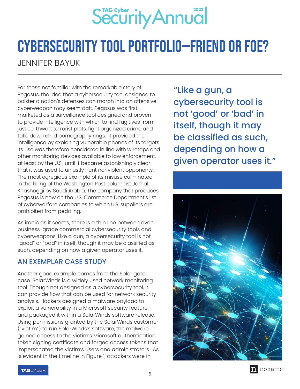

### Cybersecurity Tool Portfolio—Friend or Foe?

JENNIFER BAYUK

For those not familiar with the remarkable story of Pegasus, the idea that a cybersecurity tool designed to bolster a nation's defenses can morph into an offensive cyberweapon may seem daft. Pegasus was first marketed as a surveillance tool designed and proven to provide intelligence with which to find fugitives from justice, thwart terrorist plots, fight organized crime and take down child pornography rings. It provided the intelligence by exploiting vulnerable phones of its targets. Its use was therefore considered in line with wiretaps and other monitoring devices available to law enforcement, at least by the U.S., until it became astonishingly clear that it was used to unjustly hunt nonviolent opponents. The most egregious example of its misuse culminated in the killing of the Washington Post columnist Jamal Khashoggi by Saudi Arabia. The company that produces Pegasus is now on the U.S. Commerce Department's list of cyberwarfare companies to which U.S. suppliers are prohibited from peddling.

As ironic as it seems, there is a thin line between even business-grade commercial cybersecurity tools and cyberweapons. Like a gun, a cybersecurity tool is not "good" or "bad" in itself, though it may be classified as such, depending on how a given operator uses it.

#### AN EXEMPLAR CASE STUDY

Another good example comes from the Solorigate case. SolarWinds is a widely used network monitoring tool. Though not designed as a cybersecurity tool, it can provide flow that can be used for network security analysis. Hackers designed a malware payload to exploit a vulnerability in a Microsoft security feature and packaged it within a SolarWinds software release. Using permissions granted by the SolarWinds customer ("victim") to run SolarWinds's software, the malware gained access to the victim's Microsoft authentication token signing certificate and forged access tokens that impersonated the victim's users and administrators. As is evident in the timeline in Figure 1, attackers were in

"Like a gun, a cybersecurity tool is not 'good' or 'bad' in itself, though it may be classified as such, depending on how a given operator uses it."



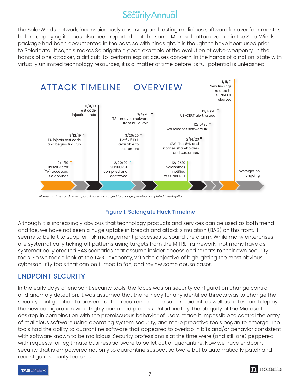the SolarWinds network, inconspicuously observing and testing malicious software for over four months before deploying it. It has also been reported that the same Microsoft attack vector in the SolarWinds package had been documented in the past, so with hindsight, it is thought to have been used prior to Solorigate. If so, this makes Solorigate a good example of the evolution of cyberweaponry. In the hands of one attacker, a difficult-to-perform exploit causes concern. In the hands of a nation-state with virtually unlimited technology resources, it is a matter of time before its full potential is unleashed.



*All events, dates and times approximate and subject to change, pending completed investigation.*

#### Figure 1. Solorigate Hack Timeline

Although it is increasingly obvious that technology products and services can be used as both friend and foe, we have not seen a huge uptake in breach and attack simulation (BAS) on this front. It seems to be left to supplier risk management processes to sound the alarm. While many enterprises are systematically ticking off patterns using targets from the MITRE framework, not many have as systematically created BAS scenarios that assume insider access and threats to their own security tools. So we took a look at the TAG Taxonomy, with the objective of highlighting the most obvious cybersecurity tools that can be turned to foe, and review some abuse cases.

#### ENDPOINT SECURITY

In the early days of endpoint security tools, the focus was on security configuration change control and anomaly detection. It was assumed that the remedy for any identified threats was to change the security configuration to prevent further recurrence of the same incident, as well as to test and deploy the new configuration via a highly controlled process. Unfortunately, the ubiquity of the Microsoft desktop in combination with the promiscuous behavior of users made it impossible to control the entry of malicious software using operating system security, and more proactive tools began to emerge. The tools had the ability to quarantine software that appeared to overlap in bits and/or behavior consistent with software known to be malicious. Security professionals at the time were (and still are) peppered with requests for legitimate business software to be let out of quarantine. Now we have endpoint security that is empowered not only to quarantine suspect software but to automatically patch and reconfigure security features.



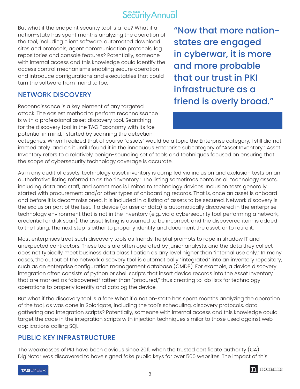#### $S<sup>rac</sup>$  Security Annual

But what if the endpoint security tool is a foe? What if a nation-state has spent months analyzing the operation of the tool, including client software, automated download sites and protocols, agent communication protocols, log repositories and console features? Potentially, someone with internal access and this knowledge could identify the access control mechanisms enabling secure operation and introduce configurations and executables that could turn the software from friend to foe.

#### NETWORK DISCOVERY

Reconnaissance is a key element of any targeted attack. The easiest method to perform reconnaissance is with a professional asset discovery tool. Searching for the discovery tool in the TAG Taxonomy with its foe potential in mind, I started by scanning the detection

"Now that more nationstates are engaged in cyberwar, it is more and more probable that our trust in PKI infrastructure as a friend is overly broad."

categories. When I realized that of course "assets" would be a topic the Enterprise category, I still did not immediately land on it until I found it in the innocuous Enterprise subcategory of "Asset Inventory." Asset Inventory refers to a relatively benign-sounding set of tools and techniques focused on ensuring that the scope of cybersecurity technology coverage is accurate.

As in any audit of assets, technology asset inventory is compiled via inclusion and exclusion tests on an authoritative listing referred to as the "inventory." The listing sometimes contains all technology assets, including data and staff, and sometimes is limited to technology devices. Inclusion tests generally started with procurement and/or other types of onboarding records. That is, once an asset is onboard and before it is decommissioned, it is included in a listing of assets to be secured. Network discovery is the exclusion part of the test. If a device (or user or data) is automatically discovered in the enterprise technology environment that is not in the inventory (e.g., via a cybersecurity tool performing a network, credential or disk scan), the asset listing is assumed to be incorrect, and the discovered item is added to the listing. The next step is either to properly identify and document the asset, or to retire it.

Most enterprises treat such discovery tools as friends, helpful prompts to rope in shadow IT and unexpected contractors. These tools are often operated by junior analysts, and the data they collect does not typically meet business data classification as any level higher than "internal use only." In many cases, the output of the network discovery tool is automatically "integrated" into an inventory repository, such as an enterprise configuration management database (CMDB). For example, a device discovery integration often consists of python or shell scripts that insert device records into the Asset Inventory that are marked as "discovered" rather than "procured," thus creating to-do lists for technology operations to properly identify and catalog the device.

But what if the discovery tool is a foe? What if a nation-state has spent months analyzing the operation of the tool, as was done in Solorigate, including the tool's scheduling, discovery protocols, data gathering and integration scripts? Potentially, someone with internal access and this knowledge could target the code in the integration scripts with injection techniques similar to those used against web applications calling SQL.

#### PUBLIC KEY INFRASTRUCTURE

The weaknesses of PKI have been obvious since 2011, when the trusted certificate authority (CA) DigiNotar was discovered to have signed fake public keys for over 500 websites. The impact of this

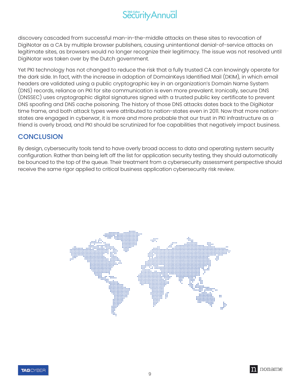discovery cascaded from successful man-in-the-middle attacks on these sites to revocation of DigiNotar as a CA by multiple browser publishers, causing unintentional denial-of-service attacks on legitimate sites, as browsers would no longer recognize their legitimacy. The issue was not resolved until DigiNotar was taken over by the Dutch government.

Yet PKI technology has not changed to reduce the risk that a fully trusted CA can knowingly operate for the dark side. In fact, with the increase in adoption of DomainKeys Identified Mail (DKIM), in which email headers are validated using a public cryptographic key in an organization's Domain Name System (DNS) records, reliance on PKI for site communication is even more prevalent. Ironically, secure DNS (DNSSEC) uses cryptographic digital signatures signed with a trusted public key certificate to prevent DNS spoofing and DNS cache poisoning. The history of those DNS attacks dates back to the DigiNotar time frame, and both attack types were attributed to nation-states even in 2011. Now that more nationstates are engaged in cyberwar, it is more and more probable that our trust in PKI infrastructure as a friend is overly broad, and PKI should be scrutinized for foe capabilities that negatively impact business.

#### **CONCLUSION**

By design, cybersecurity tools tend to have overly broad access to data and operating system security configuration. Rather than being left off the list for application security testing, they should automatically be bounced to the top of the queue. Their treatment from a cybersecurity assessment perspective should receive the same rigor applied to critical business application cybersecurity risk review.



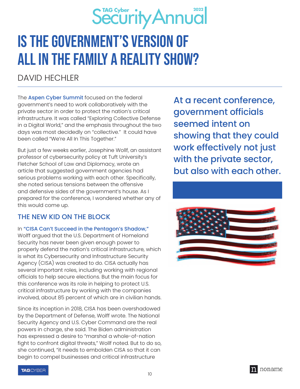

### Is the Government's Version of All In the Family a Reality Show?

#### DAVID HECHLER

The **Aspen Cyber Summit** focused on the federal government's need to work collaboratively with the private sector in order to protect the nation's critical infrastructure. It was called "Exploring Collective Defense in a Digital World," and the emphasis throughout the two days was most decidedly on "collective." It could have been called "We're All In This Together."

But just a few weeks earlier, Josephine Wollf, an assistant professor of cybersecurity policy at Tuft University's Fletcher School of Law and Diplomacy, wrote an article that suggested government agencies had serious problems working with each other. Specifically, she noted serious tensions between the offensive and defensive sides of the government's house. As I prepared for the conference, I wondered whether any of this would come up.

#### THE NEW KID ON THE BLOCK

In "[CISA Can't Succeed in the Pentagon's Shadow,"](https://readme.security/cisa-cant-succeed-in-the-pentagon-s-shadow-f5a21db3dd7e) Wolff argued that the U.S. Department of Homeland Security has never been given enough power to properly defend the nation's critical infrastructure, which is what its Cybersecurity and Infrastructure Security Agency (CISA) was created to do. CISA actually has several important roles, including working with regional officials to help secure elections. But the main focus for this conference was its role in helping to protect U.S. critical infrastructure by working with the companies involved, about 85 percent of which are in civilian hands.

Since its inception in 2018, CISA has been overshadowed by the Department of Defense, Wolff wrote. The National Security Agency and U.S. Cyber Command are the real powers in charge, she said. The Biden administration has expressed a desire to "marshal a whole-of-nation fight to confront digital threats," Wollf noted. But to do so, she continued, "it needs to embolden CISA so that it can begin to compel businesses and critical infrastructure

At a recent conference, government officials seemed intent on showing that they could work effectively not just with the private sector, but also with each other.





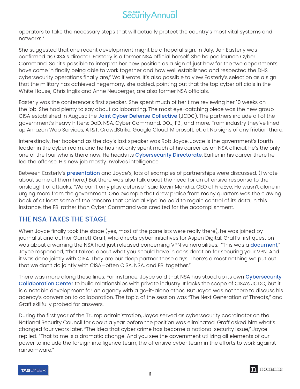operators to take the necessary steps that will actually protect the country's most vital systems and networks."

She suggested that one recent development might be a hopeful sign. In July, Jen Easterly was confirmed as CISA's director. Easterly is a former NSA official herself. She helped launch Cyber Command. So "it's possible to interpret her new position as a sign of just how far the two departments have come in finally being able to work together and how well established and respected the DHS cybersecurity operations finally are," Wollf wrote. It's also possible to view Easterly's selection as a sign that the military has achieved hegemony, she added, pointing out that the top cyber officials in the White House, Chris Inglis and Anne Neuberger, are also former NSA officials.

Easterly was the conference's first speaker. She spent much of her time reviewing her 10 weeks on the job. She had plenty to say about collaborating. The most eye-catching piece was the new group CISA established in August: the [Joint Cyber Defense Collective](https://www.cisa.gov/news/2021/08/05/cisa-launches-new-joint-cyber-defense-collaborative) (JCDC). The partners include all of the government's heavy hitters: DoD, NSA, Cyber Command, DOJ, FBI, and more. From industry they've lined up Amazon Web Services, AT&T, CrowdStrike, Google Cloud, Microsoft, et. al. No signs of any friction there.

Interestingly, her bookend as the day's last speaker was Rob Joyce. Joyce is the government's fourth leader in the cyber realm, and he has not only spent much of his career as an NSA official, he's the only one of the four who is there now. He heads its [Cybersecurity Directorate](https://federalnewsnetwork.com/cybersecurity/2021/02/nsas-cyber-directorate-marks-a-year-in-operation/). Earlier in his career there he led the offense. His new job mostly involves intelligence.

Between Easterly's **[presentation](https://www.cyberinsecuritynews.com/aspen-summit)** and Joyce's, lots of examples of partnerships were discussed. (I wrote about some of them here.) But there was also talk about the need for an offensive response to the onslaught of attacks. "We can't only play defense," said Kevin Mandia, CEO of FireEye. He wasn't alone in urging more from the government. One example that drew praise from many quarters was the clawing back of at least some of the ransom that Colonial Pipeline paid to regain control of its data. In this instance, the FBI rather than Cyber Command was credited for the accomplishment.

#### THE NSA TAKES THE STAGE

When Joyce finally took the stage (yes, most of the panelists were really there), he was joined by journalist and author Garrett Graff, who directs cyber initiatives for Aspen Digital. Graff's first question was about a warning the NSA had just released concerning VPN vulnerabilities. "This was a **[document](https://www.nsa.gov/Press-Room/Press-Releases-Statements/Press-Release-View/Article/2791320/nsa-cisa-release-guidance-on-selecting-and-hardening-remote-access-vpns/)**," Joyce responded, "that talked about what you should have in consideration for securing your VPN. And it was done jointly with CISA. They are our deep partner these days. There's almost nothing we put out that we don't do jointly with CISA—often CISA, NSA, and FBI together."

There was more along these lines. For instance, Joyce said that NSA has stood up its own Cybersecurity [Collaboration Center](https://www.nsa.gov/About/Cybersecurity-Collaboration-Center/) to build relationships with private industry. It lacks the scope of CISA's JCDC, but it is a notable development for an agency with a go-it-alone ethos. But Joyce was not there to discuss his agency's conversion to collaboration. The topic of the session was "The Next Generation of Threats," and Graff skillfully probed for answers.

During the first year of the Trump administration, Joyce served as cybersecurity coordinator on the National Security Council for about a year before the position was eliminated. Graff asked him what's changed four years later. "The idea that cyber crime has become a national security issue," Joyce replied. "That to me is a dramatic change. And you see the government utilizing all elements of our power to include the foreign intelligence team, the offensive cyber team in the efforts to work against ransomware."

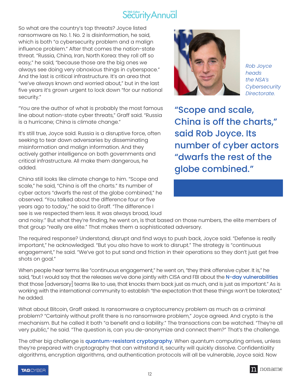So what are the country's top threats? Joyce listed ransomware as No. 1. No. 2 is disinformation, he said, which is both "a cybersecurity problem and a malign influence problem." After that comes the nation-state threat. "Russia, China, Iran, North Korea: they roll off so easy," he said, "because those are the big ones we always see doing very obnoxious things in cyberspace." And the last is critical infrastructure. It's an area that "we've always known and worried about," but in the last five years it's grown urgent to lock down "for our national security."

"You are the author of what is probably the most famous line about nation-state cyber threats," Graff said. "Russia is a hurricane; China is climate change."

It's still true, Joyce said. Russia is a disruptive force, often seeking to tear down adversaries by disseminating misinformation and malign information. And they actively gather intelligence on both governments and critical infrastructure. All make them dangerous, he added.

China still looks like climate change to him. "Scope and scale," he said, "China is off the charts." Its number of cyber actors "dwarfs the rest of the globe combined," he observed. "You talked about the difference four or five years ago to today," he said to Graff. "The difference I see is we respected them less. It was always broad, loud



*Rob Joyce heads the NSA's Cybersecurity Directorate.* 

"Scope and scale, China is off the charts," said Rob Joyce. Its number of cyber actors "dwarfs the rest of the globe combined."

and noisy." But what they're finding, he went on, is that based on those numbers, the elite members of that group "really are elite." That makes them a sophisticated adversary.

The required response? Understand, disrupt and find ways to push back, Joyce said. "Defense is really important," he acknowledged. "But you also have to work to disrupt." The strategy is "continuous engagement," he said. "We've got to put sand and friction in their operations so they don't just get free shots on goal."

When people hear terms like "continuous engagement," he went on, "they think offensive cyber. It is," he said, "but I would say that the releases we've done jointly with CISA and FBI about the [N-day vulnerabilities](https://www.tripwire.com/state-of-security/featured/n-day-vulnerabilities-ics-systems-security/) that those [adversary] teams like to use, that knocks them back just as much, and is just as important." As is working with the international community to establish "the expectation that these things won't be tolerated," he added.

What about Bitcoin, Graff asked. Is ransomware a cryptocurrency problem as much as a criminal problem? "Certainly without profit there is no ransomware problem," Joyce agreed. And crypto is the mechanism. But he called it both "a benefit and a liability." The transactions can be watched. "They're all very public," he said. "The question is, can you de-anonymize and connect them?" That's the challenge.

The other big challenge is [quantum-resistant cryptography](https://www.technologyreview.com/2020/08/03/1005891/search-for-quantum-proof-encryption-computing-nist/). When quantum computing arrives, unless they're prepared with cryptography that can withstand it, security will quickly dissolve. Confidentiality algorithms, encryption algorithms, and authentication protocols will all be vulnerable, Joyce said. Now

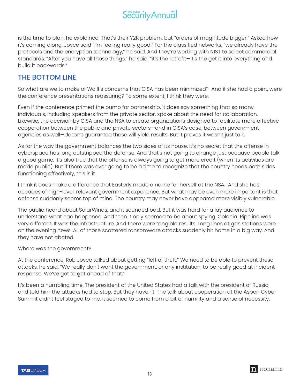

is the time to plan, he explained. That's their Y2K problem, but "orders of magnitude bigger." Asked how it's coming along, Joyce said "I'm feeling really good." For the classified networks, "we already have the protocols and the encryption technology," he said. And they're working with NIST to select commercial standards. "After you have all those things," he said, "it's the retrofit—it's the get it into everything and build it backwards."

#### THE BOTTOM LINE

So what are we to make of Wollf's concerns that CISA has been minimized? And if she had a point, were the conference presentations reassuring? To some extent, I think they were.

Even if the conference primed the pump for partnership, it does say something that so many individuals, including speakers from the private sector, spoke about the need for collaboration. Likewise, the decision by CISA and the NSA to create organizations designed to facilitate more effective cooperation between the public and private sectors—and in CISA's case, between government agencies as well—doesn't guarantee these will yield results. But it proves it wasn't just talk.

As for the way the government balances the two sides of its house, it's no secret that the offense in cyberspace has long outstripped the defense. And that's not going to change just because people talk a good game. It's also true that the offense is always going to get more credit (when its activities are made public). But if there was ever going to be a time to recognize that the country needs both sides functioning effectively, this is it.

I think it does make a difference that Easterly made a name for herself at the NSA. And she has decades of high-level, relevant government experience. But what may be even more important is that defense suddenly seems top of mind. The country may never have appeared more visibly vulnerable.

The public heard about SolarWinds, and it sounded bad. But it was hard for a lay audience to understand what had happened. And then it only seemed to be about spying. Colonial Pipeline was very different. It was the infrastructure. And there were tangible results. Long lines at gas stations were on the evening news. All of those scattered ransomware attacks suddenly hit home in a big way. And they have not abated.

Where was the government?

At the conference, Rob Joyce talked about getting "left of theft." We need to be able to prevent these attacks, he said. "We really don't want the government, or any institution, to be really good at incident response. We've got to get ahead of that."

It's been a humbling time. The president of the United States had a talk with the president of Russia and told him the attacks had to stop. But they haven't. The talk about cooperation at the Aspen Cyber Summit didn't feel staged to me. It seemed to come from a bit of humility and a sense of necessity.